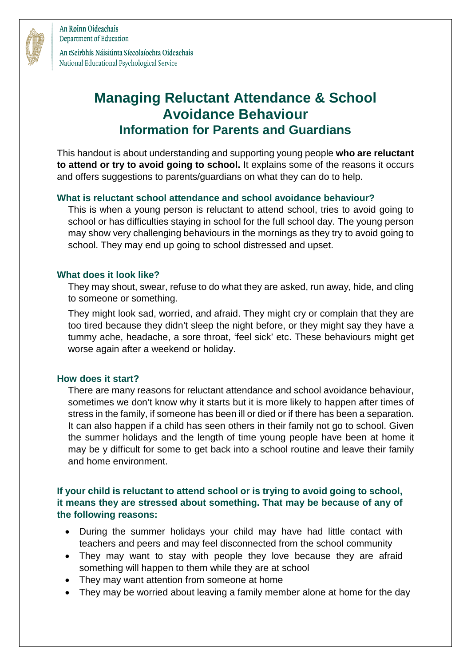

An Roinn Oideachais Department of Education

An tSeirbhís Náisiúnta Síceolaíochta Oideachais National Educational Psychological Service

# **Managing Reluctant Attendance & School Avoidance Behaviour Information for Parents and Guardians**

This handout is about understanding and supporting young people **who are reluctant to attend or try to avoid going to school.** It explains some of the reasons it occurs and offers suggestions to parents/guardians on what they can do to help.

## **What is reluctant school attendance and school avoidance behaviour?**

This is when a young person is reluctant to attend school, tries to avoid going to school or has difficulties staying in school for the full school day. The young person may show very challenging behaviours in the mornings as they try to avoid going to school. They may end up going to school distressed and upset.

### **What does it look like?**

They may shout, swear, refuse to do what they are asked, run away, hide, and cling to someone or something.

They might look sad, worried, and afraid. They might cry or complain that they are too tired because they didn't sleep the night before, or they might say they have a tummy ache, headache, a sore throat, 'feel sick' etc. These behaviours might get worse again after a weekend or holiday.

### **How does it start?**

There are many reasons for reluctant attendance and school avoidance behaviour, sometimes we don't know why it starts but it is more likely to happen after times of stress in the family, if someone has been ill or died or if there has been a separation. It can also happen if a child has seen others in their family not go to school. Given the summer holidays and the length of time young people have been at home it may be y difficult for some to get back into a school routine and leave their family and home environment.

## **If your child is reluctant to attend school or is trying to avoid going to school, it means they are stressed about something. That may be because of any of the following reasons:**

- During the summer holidays your child may have had little contact with teachers and peers and may feel disconnected from the school community
- They may want to stay with people they love because they are afraid something will happen to them while they are at school
- They may want attention from someone at home
- They may be worried about leaving a family member alone at home for the day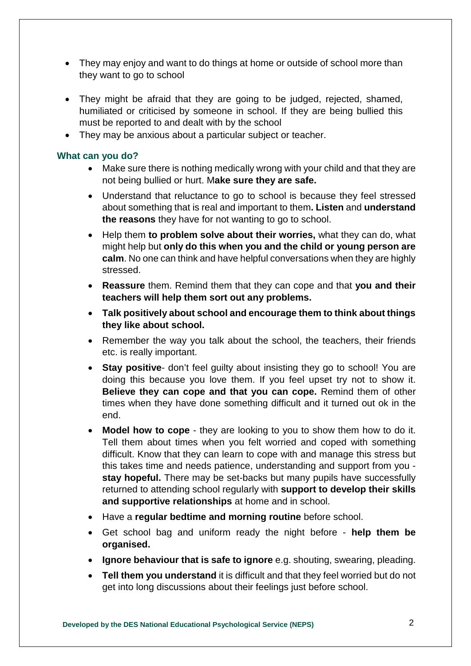- They may enjoy and want to do things at home or outside of school more than they want to go to school
- They might be afraid that they are going to be judged, rejected, shamed, humiliated or criticised by someone in school. If they are being bullied this must be reported to and dealt with by the school
- They may be anxious about a particular subject or teacher.

#### **What can you do?**

- Make sure there is nothing medically wrong with your child and that they are not being bullied or hurt. M**ake sure they are safe.**
- Understand that reluctance to go to school is because they feel stressed about something that is real and important to them**. Listen** and **understand the reasons** they have for not wanting to go to school.
- Help them **to problem solve about their worries,** what they can do, what might help but **only do this when you and the child or young person are calm**. No one can think and have helpful conversations when they are highly stressed.
- **Reassure** them. Remind them that they can cope and that **you and their teachers will help them sort out any problems.**
- **Talk positively about school and encourage them to think about things they like about school.**
- Remember the way you talk about the school, the teachers, their friends etc. is really important.
- **Stay positive** don't feel guilty about insisting they go to school! You are doing this because you love them. If you feel upset try not to show it. **Believe they can cope and that you can cope.** Remind them of other times when they have done something difficult and it turned out ok in the end.
- **Model how to cope**  they are looking to you to show them how to do it. Tell them about times when you felt worried and coped with something difficult. Know that they can learn to cope with and manage this stress but this takes time and needs patience, understanding and support from you **stay hopeful.** There may be set-backs but many pupils have successfully returned to attending school regularly with **support to develop their skills and supportive relationships** at home and in school.
- Have a **regular bedtime and morning routine** before school.
- Get school bag and uniform ready the night before **help them be organised.**
- **Ignore behaviour that is safe to ignore** e.g. shouting, swearing, pleading.
- **Tell them you understand** it is difficult and that they feel worried but do not get into long discussions about their feelings just before school.